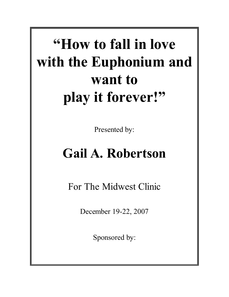# **"How to fall in love with the Euphonium and want to play it forever!"**

Presented by:

## **Gail A. Robertson**

For The Midwest Clinic

December 19-22, 2007

Sponsored by: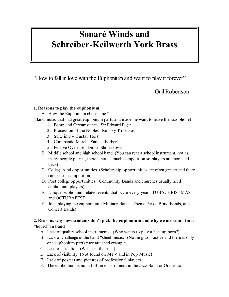### **Sonaré Winds and Schreiber-Keilwerth York Brass**

"How to fall in love with the Euphonium and want to play it forever"

Gail Robertson

#### **1. Reasons to play the euphonium**

A. How the Euphonium chose "me."

(Band music that had great euphonium parts and made me want to leave the saxophone)

- 1. Pomp and Circumstance –Sir Edward Elgar
- 2. Procession of the Nobles –Rimsky-Korsakov
- 3. Suite in F Gustav Holst
- 4. Commando March –Samual Barber
- 5. Festive Overture –Dmitri Shostakovich
- B. Middle school and high school band. (You can rent a school instrument, not as many people play it, there's not as much competition so players are more laid back)
- C. College band opportunities. (Scholarship opportunities are often greater and there can be less competition)
- D. Post college opportunities. (Community Bands and churches usually need euphonium players)
- E. Unique Euphonium related events that occur every year: TUBACHRISTMAS and OCTUBAFEST.
- F. Jobs playing the euphonium. (Military Bands, Theme Parks, Brass Bands, and Concert Bands)

#### **2. Reasons why new students don't pick the euphonium and why we are sometimes "bored" in band**

- A. Lack of quality school instruments. (Who wants to play a beat up horn?)
- B. Lack of challenge in the band "sheet music." (Nothing to practice and there is only one euphonium part) \*see attached example
- C. Lack of attention. (We sit in the back)
- D. Lack of visibility. (Not found on MTV and in Pop Music)
- E. Lack of posters and pictures of professional players.
- F. The euphonium is not a full-time instrument in the Jazz Band or Orchestra.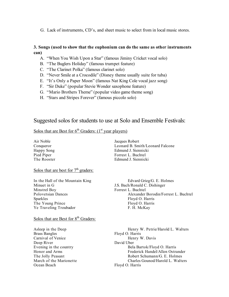G. Lack of instruments, CD's, and sheet music to select from in local music stores.

#### **3. Songs (used to show that the euphonium can do the same as other instruments can)**

- A. "When You Wish Upon a Star" (famous Jiminy Cricket vocal solo)
- B. "The Buglers Holiday" (famous trumpet feature)
- C. "The Clarinet Polka" (famous clarinet solo)
- D. "Never Smile at a Crocodile" (Disney theme usually suite for tuba)
- E. "It's Only a Paper Moon" (famous Nat King Cole vocal jazz song)
- F. "Sir Duke" (popular Stevie Wonder saxophone feature)
- G. "Mario Brothers Theme" (popular video game theme song)
- H. "Stars and Stripes Forever" (famous piccolo solo)

#### Suggested solos for students to use at Solo and Ensemble Festivals:

#### Solos that are Best for  $6<sup>th</sup>$  Graders: (1<sup>st</sup> year players)

Solos that are best for  $7<sup>th</sup>$  graders:

In the Hall of the Mountain King Edvard Grieg/G. E. Holmes Minuet in G<br>Minstrel Boy<br>Minstrel Boy<br>Forrest L. Buchtel Sparkles Floyd O. Harris The Young Prince Floyd O. Harris Ye Traveling Troubador F. H. McKay

#### Solos that are Best for 8<sup>th</sup> Graders:

Brass Bangles Floyd O. Harris Carnival of Venice Henry W. Davis Deep River David Uber Ocean Beach Floyd O. Harris

Air Noble Jacques Robert Conqueror Leonard B. Smith/Leonard Falcone Happy Song Edmund J. Siennicki Pied Piper Forrest L. Buchtel The Rooster Edmund J. Siennicki

Forrest L. Buchtel Polovetsian Dances Alexander Borodin/Forrest L. Buchtel

Asleep in the Deep Henry W. Petrie/Harold L. Walters Evening in the country **Evening in the country** Bela Bartok/Floyd O. Harris Honor and Arms **Frederick Handel/Allen Ostrander** Frederick Handel/Allen Ostrander The Jolly Peasant The Jolly Peasant Robert Schumann/G. E. Holmes March of the Marionette Charles Gounod/Harold L. Walters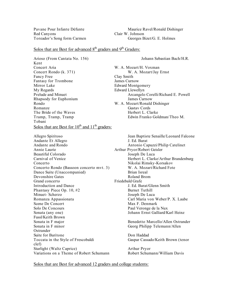Red Canyons Clair W. Johnson

Pavane Pour Infante Défunte Maurice Ravel/Ronald Dishinger Toreador's Song form Carmen Georges Bizet/G. E. Holmes

#### Solos that are Best for advanced  $8<sup>th</sup>$  graders and  $9<sup>th</sup>$  Graders:

Arioso (From Cantata No. 156) Johann Sebastian Bach/H.R. Kent Concert Aria W. A. Mozart/H. Voxman Concert Rondo (k. 371) W. A. Mozart/Jay Ernst Fancy Free Clay Smith Fantasy for Trombone James Curnow Mirror Lake Edward Montgomery My Regards Edward Llewellyn Rhapsody for Euphonium James Curnow Rondo W. A. Mozart/Ronald Dishinger Romanze Gustav Cords The Bride of the Waves Herbert L. Clarke Tramp, Tramp, Tramp **Edwin Franko Goldman/Theo M.** Tobani Solos that are Best for  $10^{th}$  and  $11^{th}$  graders:

Allegro Spiritoso Jean Baptiste Senaille/Leonard Falcone Andante Et Allegro J. Ed. Barat Andante and Rondo Antonio Capuzzi/Philip Catelinet Annie Laurie **Arthur Pryor/Robert Geisler** Beautiful Colorado Joseph De Luca Concerto Nikolai Rimsky-Korsakov Concerto Rondo (Bassoon concerto mvt. 3) W. A. Mozart/Richard Fote Dance Suite (Unaccompanied) Brian Isreal Devonshire Gates Roland Brom Grand concerto Friedebald Grafe Introduction and Dance J. Ed. Barat/Glenn Smith Phantasy Piece Op. 10, #2 Burnet Tuthill Minuet- Scherzo Joseph De Luca Scene De Concert Max F. Denmark Solo De Concours Paul Veronge de la Nux Sonata (any one) Johann Ernst Galliard/Karl Heinz Fussl/Keith Brown Sonata in F minor Georg Philipp Telemann/Allen Ostrander Suite for Baritone Don Haddad clef) Starlight (Waltz Caprice) Arthur Pryor Variations on a Theme of Robert Schumann Robert Schumann/William Davis

Prelude and Minuet **Arcangelo Corelli/Richard E. Powell** 

Carnival of Venice Theorem 1999 Herbert L. Clarke/Arthur Brandenburg Romanza Appassionata Carl Maria von Weber/P. X. Laube Sonata in F major **Benedetto Marcello/Allen Ostrander** Toccata in the Style of Frescobaldi Gaspar Cassado/Keith Brown (tenor

Solos that are Best for advanced 12 graders and college students: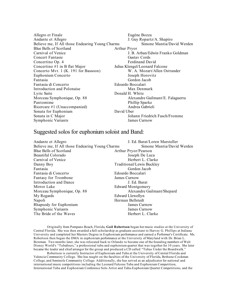Allegro et Finale Eugéne Bozza Andante et Allegro J. Guy Ropartz/A. Shapiro Believe me, If All those Endearing Young Charms Simone Mantia/David Werden Blue Bells of Scotland Arthur Pryor Carnival of Venice J. B. Arban/Edwin Franko Goldman Concert Fantasie Gustav Cords Concertino Op. 4 Ferdinand David Concertino #1 in B flat Major<br>
Concerto Mvt. 1 (K. 191 for Bassoon) W. A. Mozart/Allen Ostrander Concerto Mvt.  $1$  (K. 191 for Bassoon) Euphonium Concerto Joseph Horovitz Fantasia Gordon Jacob Fantasia di Concerto Edoardo Boccalari Introduction and Polonaise Max Denmark Lyric Suite Donald H. White Morceau Symphonique, Op. 88 Alexandre Guilmant/E. Falaguerra Pantomime Phillip Sparke Ricercare #1 (Unaccompanied) Andrea Gabrieli Sonata for Euphonium David Uber Sonata in C Major Johann Friedrich Fasch/Fromme Symphonic Variants James Curnow

#### Suggested solos for euphonium soloist and Band:

Andante et Allegro J. Ed. Barat/Loren Marsteller Believe me, If All those Endearing Young Charms Simone Mantia/David Werden Blue Bells of Scotland Arthur Pryor/Pearson Beautiful Colorado Joseph De Luca Carnival of Venice **Herbert L. Clarke** Danny Boy Traditional/Lewis Buckley Fantasia Gordon Jacob Fantasia di Concerto Edoardo Boccalari Fantasy for Trombone James Curnow Introduction and Dance J. Ed. Barat Mirror Lake Edward Montgomery Morceau Symphonique, Op. 88 Alexandre Guilmant/Shepard My Regards Edward Llewellyn Napoli Herman Bellstedt Rhapsody for Euphonium James Curnow Symphonic Variants James Curnow The Bride of the Waves **Herbert L. Clarke** 

Originally from Pompano Beach, Florida, **Gail Robertson** began her music studies at the University of Central Florida. She was then awarded a full-scholarship as graduate assistant to Harvey G. Phillips at Indiana University and completed her Masters Degree in Euphonium performance and earned a Performer's Certificate. Ms. Robertson then began the DMA in euphonium performance at the University of Maryland with Dr. Brian L. Bowman. Two months later, she was relocated back to Orlando to become one of the founding members of Walt Disney World's "Tubafours," a professional tuba and euphonium quartet that was together for 10 years. She later became the leader and chief arranger for the group and produced a CD called "Tubas Under the Boardwalk."

Robertson is currently Instructor of Euphonium and Tuba at the University of Central Florida and Valencia Community College. She has taught on the faculties of the University of Florida, Bethune-Cookman College, and Seminole Community College. Additionally, she has served as an adjudicator for national and international music competitions including the Leonard Falcone Tuba and Euphonium Competition, International Tuba and Euphonium Conference Solo Artist and Tuba-Euphonium Quartet Competitions, and the